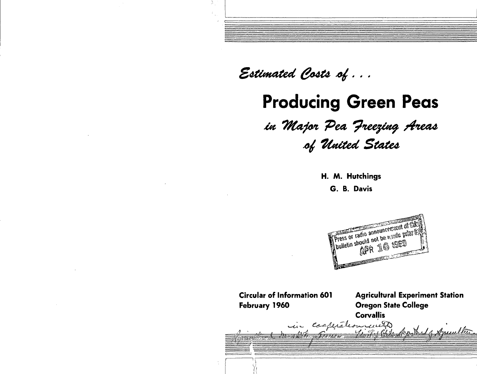Estimated Costs of ...

A.

**Producing Green Peas**

*la 'Ttfafot Pea <sup>0</sup> ?'tee\$£a\$ rfneat \*4 Touted State\**

**H. M. Hutchings**

**G. B. Davis**



| <b>Circular of Information 601</b><br>February 1960 | <b>Agricultural Experiment Station</b><br><b>Oregon State College</b> |  |  |  |  |
|-----------------------------------------------------|-----------------------------------------------------------------------|--|--|--|--|
|                                                     | <b>Corvallis</b>                                                      |  |  |  |  |
| in coapiation und                                   |                                                                       |  |  |  |  |
|                                                     |                                                                       |  |  |  |  |
|                                                     |                                                                       |  |  |  |  |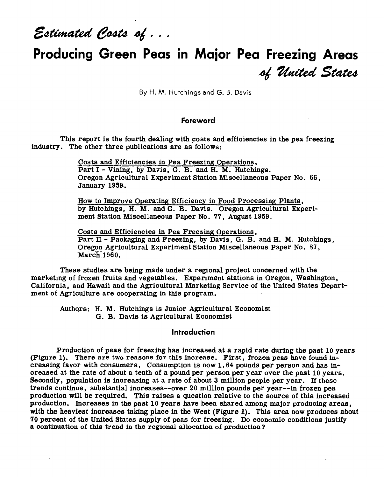Estimated Costs of ...

# **Producing Green Peas in Major Pea Freezing Areas ^** *Itaited States*

By H. M. Hutchings and G. B. Davis

### **Foreword**

This report is the fourth dealing with costs and efficiencies in the pea freezing industry. The other three publications are as follows:

> Costs and Efficiencies in Pea Freezing Operations, Part I - Vining, by Davis, G. B. and H. M. Hutchings. Oregon Agricultural Experiment Station Miscellaneous Paper No. 66, January 1959.

> How to Improve Operating Efficiency in Food Processing Plants, by Hutchings, H. M. and G. B. Davis. Oregon Agricultural Experiment Station Miscellaneous Paper No. 77, August 1959.

Costs and Efficiencies in Pea Freezing Operations, Part  $\Pi$  - Packaging and Freezing, by Davis, G. B. and H. M. Hutchings, Oregon Agricultural Experiment Station Miscellaneous Paper No. 87, March 1960.

These studies are being made under a regional project concerned with the marketing of frozen fruits and vegetables. Experiment stations in Oregon, Washington, California, and Hawaii and the Agricultural Marketing Service of the United States Department of Agriculture are cooperating in this program.

Authors: H. M. Hutchings is Junior Agricultural Economist G. B. Davis is Agricultural Economist

## **Introduction**

Production of peas for freezing has increased at a rapid rate during the past 10 years (Figure 1). There are two reasons for this increase. First, frozen peas have found increasing favor with consumers. Consumption is now 1.64 pounds per person and has in $\div$ creased at the rate of about a tenth of a pound per person per year over the past 10 years. Secondly, population is increasing at a rate of about <sup>3</sup> million people per year. If these trends continue, substantial increases—over 20 million pounds per year—in frozen pea production will be required. This raises a question relative to the source of this increased production. Increases in the past 10 years have been shared among major producing areas, with the heaviest increases taking place in the West (Figure 1). This area now produces about 70 percent of the United States supply of peas for freezing. Do economic conditions justify a continuation of this trend in the regional allocation of production ?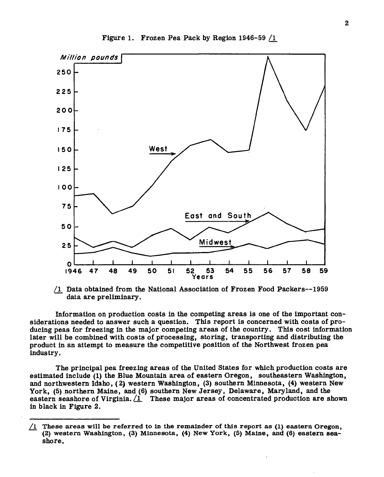

Figure 1. Frozen Pea Pack by Region 1946-59 /1

/I Data obtained from the National Association of Frozen Food Packers—1959 data are preliminary.

Information on production costs in the competing areas is one of the important considerations needed to answer such a question. This report is concerned with costs of producing peas for freezing in the major competing areas of the country. This cost information later will be combined with costs of processing, storing, transporting and distributing the product in an attempt to measure the competitive position of the Northwest frozen pea industry.

The principal pea freezing areas of the United States for which production costs are estimated include (1) the Blue Mountain area of eastern Oregon, southeastern Washington, and northwestern Idaho, (2) western Washington, (3) southern Minnesota, (4) western New York, (5) northern Maine, and (6) southern New Jersey, Delaware, Maryland, and the eastern seashore of Virginia. <sup>*(I. These major areas of concentrated production are shown*</sup> in black in Figure 2.

<sup>/1</sup> These areas will be referred to in the remainder of this report as  $(1)$  eastern Oregon, (2) western Washington, (3) Minnesota, (4) New York, (5) Maine, and (6) eastern seashore.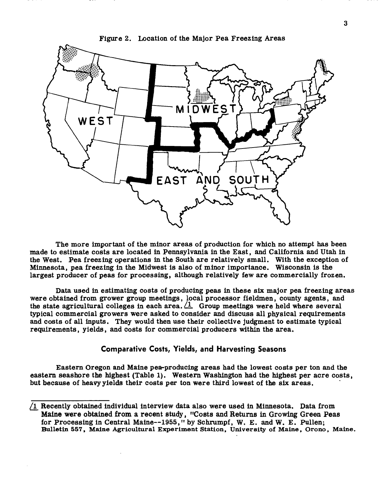

Figure 2. Location of the Major Pea Freezing Areas

The more important of the minor areas of production for which no attempt has been made to estimate costs are located in Pennsylvania in the East, and California and Utah in the West. Pea freezing operations in the South are relatively small. With the exception of Minnesota, pea freezing in the Midwest is also of minor importance. Wisconsin is the largest producer of peas for processing, although relatively few are commercially frozen.

Data used in estimating costs of producing peas in these six major pea freezing areas were obtained from grower group meetings, local processor fieldmen, county agents, and the state agricultural colleges in each area. <sup>1</sup> Group meetings were held where several typical commercial growers were asked to consider and discuss all physical requirements and costs of all inputs. They would then use their collective judgment to estimate typical requirements, yields, and costs for commercial producers within the area.

## **Comparative Costs, Yields, and Harvesting Seasons**

Eastern Oregon and Maine pea-producing areas had the lowest costs per ton and the eastern seashore the highest (Table 1). Western Washington had the highest per acre costs, but because of heavy yields their costs per ton were third lowest of the six areas.

<sup>/</sup>l Recently obtained individual interview data also were used in Minnesota. Data from **Maine were** obtained from a recent study, "Costs and Returns in Growing Green Peas for Processing in Central Maine—1955," by Schrumpf, W. E. and W. E. Pullen; **Bulletin 557, Maine Agricultural Experiment Station, University of Maine, Orono, Maine.**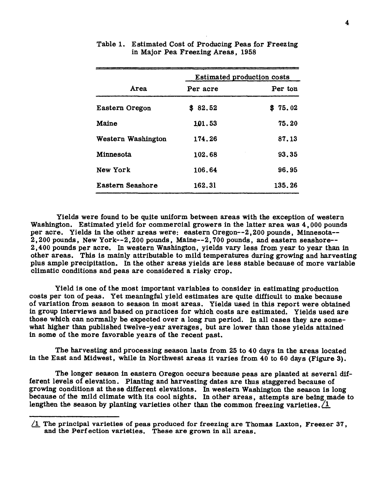|                    |          | <b>Estimated production costs</b> |  |  |
|--------------------|----------|-----------------------------------|--|--|
| Area               | Per acre | Per ton                           |  |  |
| Eastern Oregon     | \$82.52  | \$75.02                           |  |  |
| Maine              | 101.53   | 75.20                             |  |  |
| Western Washington | 174.26   | 87.13                             |  |  |
| Minnesota          | 102.68   | 93.35                             |  |  |
| New York           | 106.64   | 96.95                             |  |  |
| Eastern Seashore   | 162.31   | 135.26                            |  |  |

#### Table 1. Estimated Cost of Producing Peas for Freezing in Major Pea Freezing Areas, 1958

Yields were found to be quite uniform between areas with the exception of western Washington. Estimated yield for commercial growers in the latter area was 4,000 pounds per acre. Yields in the other areas were: eastern Oregon--2,200 pounds, Minnesota--2,200 pounds, New York—2,200 pounds, Maine—2,700 pounds, and eastern seashore— 2,400 pounds per acre. In western Washington, yields vary less from year to year than in other areas. This is mainly attributable to mild temperatures during growing and harvesting plus ample precipitation. In the other areas yields are less stable because of more variable climatic conditions and peas are considered a risky crop.

Yield is one of the most important variables to consider in estimating production costs per ton of peas. Yet meaningful yield estimates are quite difficult to make because of variation from season to season in most areas. Yields used in this report were obtained in group interviews and based on practices for which costs are estimated. Yields used are those which can normally be expected over a long run period. In all cases they are somewhat higher than published twelve-year averages, but are lower than those yields attained in some of the more favorable years of the recent past.

The harvesting and processing season lasts from 25 to 40 days in the areas located in the East and Midwest, while in Northwest areas it varies from 40 to 60 days (Figure 3).

The longer season in eastern Oregon occurs because peas are planted at several different levels of elevation. Planting and harvesting dates are thus staggered because of growing conditions at these different elevations. In western Washington the season is long because of the mild climate with its cool nights. In other areas, attempts are being made to lengthen the season by planting varieties other than the common freezing varieties.  $\angle 1$ 

 $\sqrt{1}$  The principal varieties of peas produced for freezing are Thomas Laxton, Freezer 37, and the Perfection varieties. These are grown in all areas.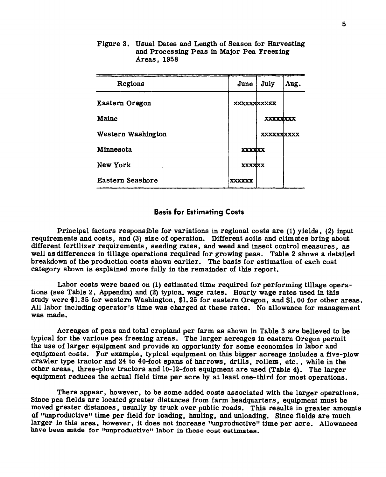| Regions            | June               | July              | Aug. |
|--------------------|--------------------|-------------------|------|
| Eastern Oregon     | <b>XXXXXXXXXXX</b> |                   |      |
| Maine              |                    | <b>XXXXXXXX</b>   |      |
| Western Washington |                    | <b>XXXXXXXXXX</b> |      |
| Minnesota          | <b>XXXXXXX</b>     |                   |      |
| New York           | <b>XXXXXX</b>      |                   |      |
| Eastern Seashore   | xxxxxx             |                   |      |

Figure 3. Usual Dates and Length of Season for Harvesting and Processing Peas in Major Pea Freezing Areas, 1958

#### **Basis for Estimating Costs**

Principal factors responsible for variations in regional costs are (1) yields, (2) input requirements and costs, and (3) size of operation. Different soils and climates bring about different fertilizer requirements, seeding rates, and weed and insect control measures, as well as differences in tillage operations required for growing peas. Table 2 shows a detailed breakdown of the production costs shown earlier. The basis for estimation of each cost category shown is explained more fully in the remainder of this report.

Labor costs were based on (1) estimated time required for performing tillage operations (see Table 2, Appendix) and (2) typical wage rates. Hourly wage rates used in this study were \$1.35 for western Washington, \$1.25 for eastern Oregon, and \$1.00 for other areas. All labor including operator's time was charged at these rates. No allowance for management was made.

Acreages of peas and total cropland per farm as shown in Table <sup>3</sup> are believed to be typical for the various pea freezing areas. The larger acreages in eastern Oregon permit the use of larger equipment and provide an opportunity for some economies in labor and equipment costs. For example, typical equipment on this bigger acreage includes a five-plow crawler type tractor and 24 to 40-foot spans of harrows, drills, rollers, etc., while in the other areas, three-plow tractors and 10-12-foot equipment are used (Table 4). The larger equipment reduces the actual field time per acre by at least one-third for most operations.

There appear, however, to be some added costs associated with the larger operations. Since pea fields are located greater distances from farm headquarters, equipment must be moved greater distances, usually by truck over public roads. This results in greater amounts of "unproductive" time per field for loading, hauling, and unloading. Since fields are much larger in this area, however, it does not increase "unproductive" time per acre. Allowances **have been made for "unproductive" labor in these cost estimates.**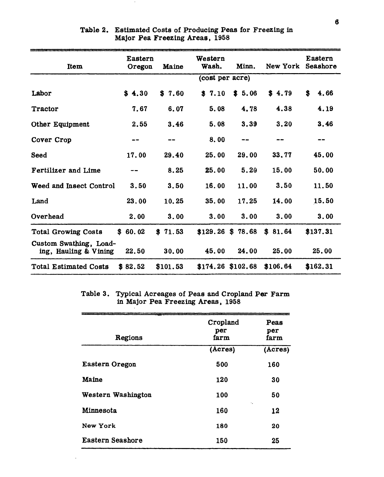| Item                                            | <b>Eastern</b><br>Oregon | Maine             | Western<br>Wash.   | Minn.               | New York Seashore | Eastern    |
|-------------------------------------------------|--------------------------|-------------------|--------------------|---------------------|-------------------|------------|
|                                                 |                          |                   | (cost per acre)    |                     |                   |            |
| Labor                                           | \$4.30                   | \$7.60            | \$7.10             | \$5.06              | \$4.79            | \$<br>4.66 |
| Tractor                                         | 7.67                     | 6.07              | 5.08               | 4.78                | 4.38              | 4.19       |
| <b>Other Equipment</b>                          | 2.55                     | 3.46              | 5.08               | 3.39                | 3.20              | 3.46       |
| Cover Crop                                      |                          | $\qquad \qquad -$ | 8.00               | --                  | --                | --         |
| Seed                                            | 17.00                    | 29.40             | 25.00              | 29.00               | 33.77             | 45.00      |
| <b>Fertilizer and Lime</b>                      |                          | 8.25              | 25.00              | 5.20                | 15.00             | 50.00      |
| Weed and Insect Control                         | 3.50                     | 3.50              | 16.00              | 11.00               | 3.50              | 11.50      |
| Land                                            | 23.00                    | 10.25             | 35.00              | 17.25               | 14.00             | 15.50      |
| Overhead                                        | 2.00                     | 3.00              | 3.00               | 3.00                | 3.00              | 3.00       |
| <b>Total Growing Costs</b>                      | \$60.02                  | \$71.53           | $$129.26$ \$ 78.68 |                     | \$81.64           | \$137.31   |
| Custom Swathing, Load-<br>ing, Hauling & Vining | 22.50                    | 30.00             | 45.00              | 24.00               | 25.00             | 25.00      |
| <b>Total Estimated Costs</b>                    | \$82.52                  | \$101.53          |                    | $$174.26$ $$102.68$ | \$106.64          | \$162.31   |

**Table 2. Estimated Costs of Producing Peas for Freezing in Major Pea Freezing Areas, 1958**

**Table 3. Typical Acreages of Peas and Cropland Per Farm in Major Pea Freezing Areas, 1958**

| Regions            | Cropland<br>per<br>farm | Peas<br>per<br>farm |
|--------------------|-------------------------|---------------------|
|                    | (Acres)                 | (Acres)             |
| Eastern Oregon     | 500                     | 160                 |
| Maine              | 120                     | 30                  |
| Western Washington | 100                     | 50                  |
| Minnesota          | 160                     | ı,<br>12            |
| New York           | 180                     | 20                  |
| Eastern Seashore   | 150                     | 25                  |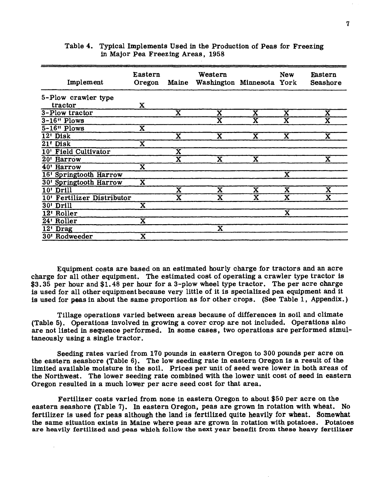| Implement                  | Eastern<br>Oregon       | Maine                   | Western<br>Washington Minnesota York |                         | <b>New</b>              | Eastern<br>Seashore         |
|----------------------------|-------------------------|-------------------------|--------------------------------------|-------------------------|-------------------------|-----------------------------|
| 5-Plow crawler type        |                         |                         |                                      |                         |                         |                             |
| tractor                    | X                       |                         |                                      |                         |                         |                             |
| 3-Plow tractor             |                         | $\overline{\textbf{x}}$ | $\overline{\textbf{x}}$              | $\bar{\mathbf{x}}$      | $\overline{\mathbf{X}}$ | $\overline{\textbf{X}}$     |
| $3-16"$ Plows              |                         |                         | $\overline{\textbf{x}}$              | $\bar{\textbf{X}}$      | $\overline{\textbf{X}}$ | $\overline{\textnormal{x}}$ |
| $5-16"$ Plows              | $\overline{\textbf{X}}$ |                         |                                      |                         |                         |                             |
| 12' Disk                   |                         | $\overline{\textbf{x}}$ | $\overline{\textbf{X}}$              | $\bar{\mathbf{x}}$      | $\overline{\mathbf{x}}$ | $\overline{\mathbf{x}}$     |
| 21 <sup>t</sup> Disk       | $\overline{\mathbf{x}}$ |                         |                                      |                         |                         |                             |
| 10' Field Cultivator       |                         | X                       |                                      |                         |                         |                             |
| 20' Harrow                 |                         | $\overline{\textbf{x}}$ | $\overline{\textbf{x}}$              | $\overline{\textbf{x}}$ |                         | $\overline{\textbf{x}}$     |
| 40' Harrow                 | $\overline{\mathbf{x}}$ |                         |                                      |                         |                         |                             |
| 16' Springtooth Harrow     |                         |                         |                                      |                         | $\overline{\mathbf{x}}$ |                             |
| 30' Springtooth Harrow     | $\overline{\textbf{x}}$ |                         |                                      |                         |                         |                             |
| 10' Drill                  |                         | $\overline{\textbf{X}}$ | $\overline{\textbf{x}}$              | $\overline{\mathbf{x}}$ | $\overline{\mathbf{x}}$ | $\overline{\textbf{x}}$     |
| 10' Fertilizer Distributor |                         | $\overline{\textbf{X}}$ | $\overline{\textbf{x}}$              | $\overline{\mathbf{x}}$ | $\overline{\mathbf{x}}$ | $\overline{\textbf{x}}$     |
| 30' Drill                  | $\overline{\mathbf{x}}$ |                         |                                      |                         |                         |                             |
| 12' Roller                 |                         |                         |                                      |                         | $\bar{\mathbf{X}}$      |                             |
| 24' Roller                 | $\overline{\textbf{x}}$ |                         |                                      |                         |                         |                             |
| $12'$ Drag                 |                         |                         | $\overline{\mathbf{x}}$              |                         |                         |                             |
| 30' Rodweeder              | $\overline{\mathbf{X}}$ |                         |                                      |                         |                         |                             |

#### Table 4. Typical Implements Used in the Production of Peas for Freezing in Major Pea Freezing Areas, 1958

Equipment costs are based on an estimated hourly charge for tractors and an acre charge for all other equipment. The estimated cost of operating a crawler type tractor is \$3.35 per hour and \$1.48 per hour for a 3-plow wheel type tractor. The per acre charge is used for all other equipment because very little of it is specialized pea equipment and it is used for peas in about the same proportion as for other crops. (See Table 1, Appendix.)

Tillage operations varied between areas because of differences in soil and climate (Table 5). Operations involved in growing a cover crop are not included. Operations also are not listed in sequence performed. In some cases, two operations are performed simultaneously using a single tractor.

Seeding rates varied from 170 pounds in eastern Oregon to 300 pounds per acre on the eastern seashore (Table 6). The low seeding rate in eastern Oregon is a result of the limited available moisture in the soil. Prices per unit of seed were lower in both areas of the Northwest. The lower seeding rate combined with the lower unit cost of seed in eastern Oregon resulted in a much lower per acre seed cost for that area.

Fertilizer costs varied from none in eastern Oregon to about \$50 per acre on the eastern seashore (Table 7). In eastern Oregon, peas are grown in rotation with wheat. No fertilizer is used for peas although the land is fertilized quite heavily for wheat. Somewhat the same situation exists in Maine where peas are grown in rotation with potatoes. Potatoes **are heavily fertilized and peas which follow the next year benefit from these heavy fertilizer**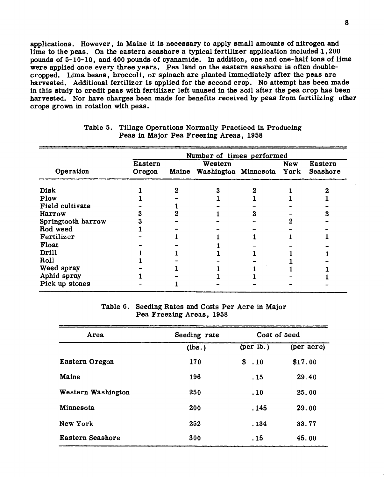applications. However, in Maine it is necessary to apply small amounts of nitrogen and lime to the peas. On the eastern seashore a typical fertilizer application included 1,200 pounds of 5-10-10, and 400 pounds of cyanamlde. In addition, one and one-half tons of lime were applied once every three years. Pea land on the eastern seashore is often doublecropped. Lima beans, broccoli, or spinach are planted immediately after the peas are harvested. Additional fertilizer is applied for the second crop. No attempt has been made in this study to credit peas with fertilizer left unused in the soil after the pea crop has been harvested. Nor have charges been made for benefits received by peas from fertilizing other crops grown in rotation with peas.

|                    | Number of times performed |  |                                            |  |            |                     |  |
|--------------------|---------------------------|--|--------------------------------------------|--|------------|---------------------|--|
| Operation          | <b>Eastern</b><br>Oregon  |  | Western<br>Maine Washington Minnesota York |  | <b>New</b> | Eastern<br>Seashore |  |
| <b>Disk</b>        |                           |  |                                            |  |            |                     |  |
| Plow               |                           |  |                                            |  |            |                     |  |
| Field cultivate    |                           |  |                                            |  |            |                     |  |
| Harrow             |                           |  |                                            |  |            |                     |  |
| Springtooth harrow |                           |  |                                            |  |            |                     |  |
| Rod weed           |                           |  |                                            |  |            |                     |  |
| Fertilizer         |                           |  |                                            |  |            |                     |  |
| Float              |                           |  |                                            |  |            |                     |  |
| Drill              |                           |  |                                            |  |            |                     |  |
| Roll               |                           |  |                                            |  |            |                     |  |
| Weed spray         |                           |  |                                            |  |            |                     |  |
| Aphid spray        |                           |  |                                            |  |            |                     |  |
| Pick up stones     |                           |  |                                            |  |            |                     |  |

#### **Table 5. Tillage Operations Normally Practiced in Producing Peas in Major Pea Freezing Areas, 1958**

Table 6. Seeding Rates and Costs Per Acre in Major Pea Freezing Areas, 1958

| Area               | Seeding rate | Cost of seed       |         |
|--------------------|--------------|--------------------|---------|
|                    | (lbs.)       | $(\text{per lb.})$ |         |
| Eastern Oregon     | 170          | \$.10              | \$17.00 |
| Maine              | 196          | .15                | 29.40   |
| Western Washington | 250          | .10                | 25.00   |
| Minnesota          | 200          | .145               | 29.00   |
| New York           | 252          | . 134              | 33.77   |
| Eastern Seashore   | 300          | . 15               | 45.00   |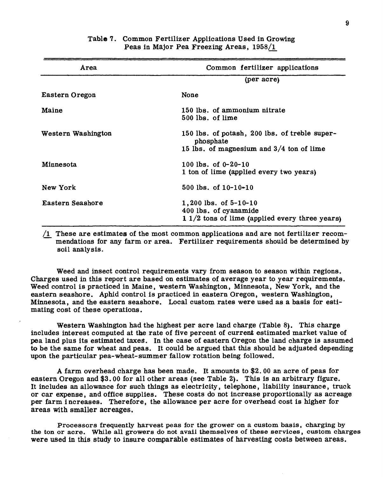| Area               | Common fertilizer applications                                                                           |
|--------------------|----------------------------------------------------------------------------------------------------------|
|                    | (per acre)                                                                                               |
| Eastern Oregon     | None                                                                                                     |
| Maine              | 150 lbs. of ammonium nitrate<br>500 lbs. of lime                                                         |
| Western Washington | 150 lbs. of potash, 200 lbs. of treble super-<br>phosphate<br>15 lbs. of magnesium and $3/4$ ton of lime |
| Minnesota          | 100 lbs. of $0-20-10$<br>1 ton of lime (applied every two years)                                         |
| New York           | 500 lbs. of $10-10-10$                                                                                   |
| Eastern Seashore   | 1,200 lbs. of $5-10-10$<br>400 lbs. of cyanamide<br>$1/2$ tons of lime (applied every three years)       |

### Table 7. Common Fertilizer Applications Used in Growing Peas in Major Pea Freezing Areas, 1958/1

/I These are estimates of the most common applications and are not fertilizer recommendations for any farm or area. Fertilizer requirements should be determined by soil analysis.

Weed and insect control requirements vary from season to season within regions. Charges used in this report are based on estimates of average year to year requirements. Weed control is practiced in Maine, western Washington, Minnesota, New York, and the eastern seashore. Aphid control is practiced in eastern Oregon, western Washington, Minnesota, and the eastern seashore. Local custom rates were used as a basis for estimating cost of these operations.

Western Washington had the highest per acre land charge (Table 8). This charge includes interest computed at the rate of five percent of current estimated market value of pea land plus its estimated taxes. In the case of eastern Oregon the land charge is assumed to be the same for wheat and peas. It could be argued that this should be adjusted depending upon the particular pea-wheat-summer fallow rotation being followed.

A farm overhead charge has been made. It amounts to \$2. 00 an acre of peas for eastern Oregon and \$3.00 for all other areas (see Table 2). This is an arbitrary figure. It includes an allowance for such things as electricity, telephone, liability insurance, truck or car expense, and office supplies. These costs do not increase proportionally as acreage per farm increases. Therefore, the allowance per acre for overhead cost is higher for areas with smaller acreages.

Processors frequently harvest peas for the grower on a custom basis, charging by the ton or acre. While all growers do not avail themselves of these services, custom charges were used in this study to insure comparable estimates of harvesting costs between areas.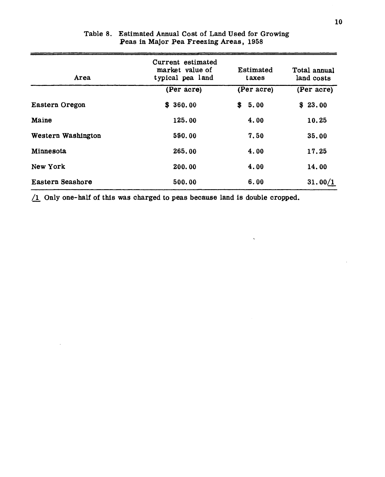| <b>Area</b>        | Current estimated<br>market value of<br>typical pea land | Estimated<br>taxes | Total annual<br>land costs |
|--------------------|----------------------------------------------------------|--------------------|----------------------------|
|                    | (Per acre)                                               | (Per acre)         | (Per acre)                 |
| Eastern Oregon     | \$360.00                                                 | \$<br>5.00         | \$23.00                    |
| Maine              | 125.00                                                   | 4.00               | 10.25                      |
| Western Washington | 550.00                                                   | 7.50               | 35.00                      |
| Minnesota          | 265.00                                                   | 4.00               | 17.25                      |
| New York           | 200.00                                                   | 4.00               | 14.00                      |
| Eastern Seashore   | 500.00                                                   | 6.00               | 31.00/1                    |

# Table 8. Estimated Annual Cost of Land Used for Growing Peas in Major Pea Freezing Areas, 1958

 $/1$  Only one-half of this was charged to peas because land is double cropped.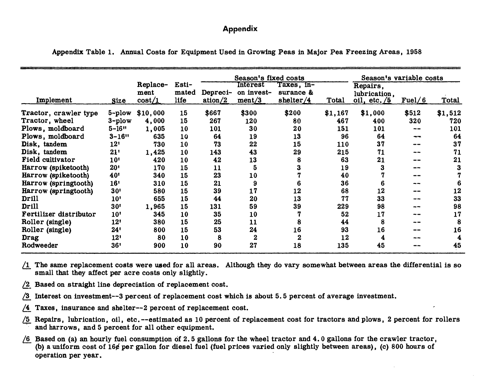# Appendix

|                         |                        |                                |                        | Season's fixed costs |                                         |                                      |         | Season's variable costs                          |         |         |
|-------------------------|------------------------|--------------------------------|------------------------|----------------------|-----------------------------------------|--------------------------------------|---------|--------------------------------------------------|---------|---------|
| Implement               | Size                   | Replace-<br>ment<br>$\cos t/1$ | Esti-<br>mated<br>life | Depreci-<br>ation/2  | <b>Interest</b><br>on invest-<br>ment/3 | Taxes, in-<br>surance &<br>shelter/4 | Total   | Repairs,<br>lubrication,<br>oil, etc. $\sqrt{5}$ | Fuel/6  | Total   |
| Tractor, crawler type   |                        | 5-plow \$10,000                | 15                     | \$667                | \$300                                   | \$200                                | \$1,167 | \$1,000                                          | \$512   | \$1,512 |
| Tractor, wheel          | $3 - p$ low            | 4,000                          | 15                     | 267                  | 120                                     | 80                                   | 467     | 400                                              | 320     | 720     |
| Plows, moldboard        | $5 - 16$               | 1,005                          | 10                     | 101                  | 30                                      | 20                                   | 151     | 101                                              | --      | 101     |
| Plows, moldboard        | $3 - 16$ <sup>11</sup> | 635                            | 10                     | 64                   | 19                                      | 13                                   | 96      | 64                                               | ang mga | 64      |
| Disk, tandem            | 12 <sup>t</sup>        | 730                            | 10                     | 73                   | 22                                      | 15                                   | 110     | 37                                               |         | 37      |
| Disk, tandem            | 21'                    | 1,425                          | 10                     | 143                  | 43                                      | 29                                   | 215     | 71                                               |         | 71      |
| <b>Field cultivator</b> | 10 <sup>t</sup>        | 420                            | 10                     | 42                   | 13                                      | 8                                    | 63      | 21                                               |         | 21      |
| Harrow (spiketooth)     | 20 <sup>1</sup>        | 170                            | 15                     | 11                   | 5                                       |                                      | 19      | З                                                |         | 3       |
| Harrow (spiketooth)     | 40 <sup>t</sup>        | 340                            | 15                     | 23                   | 10                                      |                                      | 40      |                                                  |         |         |
| Harrow (springtooth)    | 16 <sup>1</sup>        | 310                            | 15                     | 21                   | 9                                       |                                      | 36      |                                                  |         |         |
| Harrow (springtooth)    | 30 <sup>1</sup>        | 580                            | 15                     | 39                   | 17                                      | 12                                   | 68      | 12                                               |         | 12      |
| <b>Drill</b>            | 10 <sup>1</sup>        | 655                            | 15                     | 44                   | 20                                      | 13                                   | 77      | 33                                               |         | 33      |
| <b>Drill</b>            | 30 <sup>t</sup>        | 1,965                          | 15                     | 131                  | 59                                      | 39                                   | 229     | 98                                               | --      | 98      |
| Fertilizer distributor  | 10 <sup>t</sup>        | 345                            | 10                     | 35                   | 10                                      |                                      | 52      | 17                                               |         | 17      |
| Roller (single)         | 12'                    | 380                            | 15                     | 25                   | 11                                      | 8                                    | 44      | 8                                                |         | 8       |
| Roller (single)         | 24'                    | 800                            | 15                     | 53                   | 24                                      | 16                                   | 93      | 16                                               |         | 16      |
| Drag                    | 12'                    | 80                             | 10                     | 8                    | $\boldsymbol{2}$                        | $\boldsymbol{2}$                     | 12      | 4                                                |         | 4       |
| Rodweeder               | 36!                    | 900                            | 10                     | 90                   | 27                                      | 18                                   | 135     | 45                                               |         | 45      |

Appendix Table 1. Annual Costs for Equipment Used in Growing Peas in Major Pea Freezing Areas, 1958

/I The same replacement costs were used for all areas. Although they do vary somewhat between areas the differential is so small that they affect per acre costs only slightly.

- /2 Based on straight line depreciation of replacement cost.
- /3 Interest on investment—3 percent of replacement cost which is about 5.5 percent of average investment.
- /4 Taxes, insurance and shelter—2 percent of replacement cost.
- /5 Repairs, lubrication, oil, etc.—estimated as 10 percent of replacement cost for tractors and plows, 2 percent for rollers and harrows, and 5 percent for all other equipment.
- /6 Based on (a) an hourly fuel consumption of 2.5 gallons for the wheel tractor and 4.0 gallons for the crawler tractor, (b) a uniform cost of 16 $\epsilon$  per gallon for diesel fuel (fuel prices varied only slightly between areas), (c) 800 hours of operation per year.